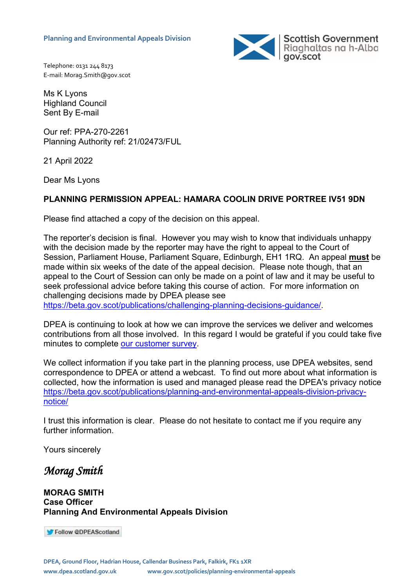

Telephone: 0131 244 8173 E-mail: Morag.Smith@gov.scot

Ms K Lyons Highland Council Sent By E-mail

Our ref: PPA-270-2261 Planning Authority ref: 21/02473/FUL

21 April 2022

Dear Ms Lyons

# **PLANNING PERMISSION APPEAL: HAMARA COOLIN DRIVE PORTREE IV51 9DN**

Please find attached a copy of the decision on this appeal.

The reporter's decision is final. However you may wish to know that individuals unhappy with the decision made by the reporter may have the right to appeal to the Court of Session, Parliament House, Parliament Square, Edinburgh, EH1 1RQ. An appeal **must** be made within six weeks of the date of the appeal decision. Please note though, that an appeal to the Court of Session can only be made on a point of law and it may be useful to seek professional advice before taking this course of action. For more information on challenging decisions made by DPEA please see [https://beta.gov.scot/publications/challenging-planning-decisions-guidance/.](https://beta.gov.scot/publications/challenging-planning-decisions-guidance/)

DPEA is continuing to look at how we can improve the services we deliver and welcomes contributions from all those involved. In this regard I would be grateful if you could take five minutes to complete [our customer survey.](https://forms.office.com/r/FdutaBquj7)

We collect information if you take part in the planning process, use DPEA websites, send correspondence to DPEA or attend a webcast. To find out more about what information is collected, how the information is used and managed please read the DPEA's privacy notice [https://beta.gov.scot/publications/planning-and-environmental-appeals-division-privacy](https://beta.gov.scot/publications/planning-and-environmental-appeals-division-privacy-notice/)[notice/](https://beta.gov.scot/publications/planning-and-environmental-appeals-division-privacy-notice/)

I trust this information is clear. Please do not hesitate to contact me if you require any further information.

Yours sincerely

# *Morag Smith*

#### **MORAG SMITH Case Officer Planning And Environmental Appeals Division**

Follow @DPEAScotland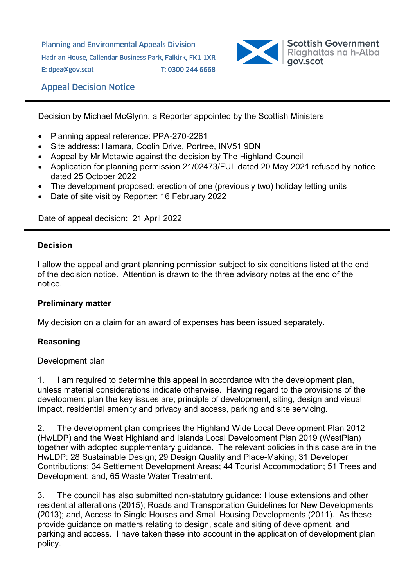Planning and Environmental Appeals Division Hadrian House, Callendar Business Park, Falkirk, FK1 1XR E: dpea@gov.scot T: 0300 244 6668



# Appeal Decision Notice

Decision by Michael McGlynn, a Reporter appointed by the Scottish Ministers

- Planning appeal reference: PPA-270-2261
- Site address: Hamara, Coolin Drive, Portree, INV51 9DN
- Appeal by Mr Metawie against the decision by The Highland Council
- Application for planning permission 21/02473/FUL dated 20 May 2021 refused by notice dated 25 October 2022
- The development proposed: erection of one (previously two) holiday letting units
- Date of site visit by Reporter: 16 February 2022

Date of appeal decision: 21 April 2022

#### **Decision**

I allow the appeal and grant planning permission subject to six conditions listed at the end of the decision notice. Attention is drawn to the three advisory notes at the end of the notice.

#### **Preliminary matter**

My decision on a claim for an award of expenses has been issued separately.

## **Reasoning**

#### Development plan

1. I am required to determine this appeal in accordance with the development plan, unless material considerations indicate otherwise. Having regard to the provisions of the development plan the key issues are; principle of development, siting, design and visual impact, residential amenity and privacy and access, parking and site servicing.

2. The development plan comprises the Highland Wide Local Development Plan 2012 (HwLDP) and the West Highland and Islands Local Development Plan 2019 (WestPlan) together with adopted supplementary guidance. The relevant policies in this case are in the HwLDP: 28 Sustainable Design; 29 Design Quality and Place-Making; 31 Developer Contributions; 34 Settlement Development Areas; 44 Tourist Accommodation; 51 Trees and Development; and, 65 Waste Water Treatment.

3. The council has also submitted non-statutory guidance: House extensions and other residential alterations (2015); Roads and Transportation Guidelines for New Developments (2013); and, Access to Single Houses and Small Housing Developments (2011). As these provide guidance on matters relating to design, scale and siting of development, and parking and access. I have taken these into account in the application of development plan policy.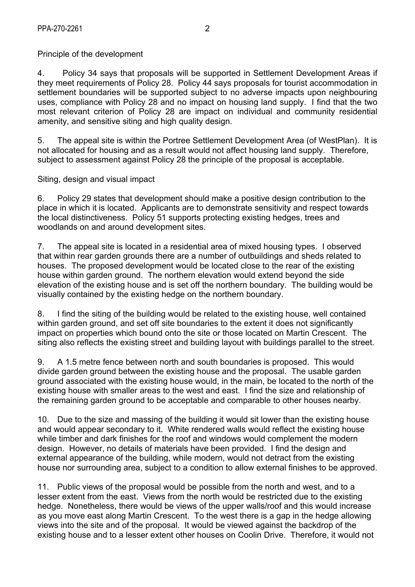Principle of the development

4. Policy 34 says that proposals will be supported in Settlement Development Areas if they meet requirements of Policy 28. Policy 44 says proposals for tourist accommodation in settlement boundaries will be supported subject to no adverse impacts upon neighbouring uses, compliance with Policy 28 and no impact on housing land supply. I find that the two most relevant criterion of Policy 28 are impact on individual and community residential amenity, and sensitive siting and high quality design.

5. The appeal site is within the Portree Settlement Development Area (of WestPlan). It is not allocated for housing and as a result would not affect housing land supply. Therefore, subject to assessment against Policy 28 the principle of the proposal is acceptable.

Siting, design and visual impact

6. Policy 29 states that development should make a positive design contribution to the place in which it is located. Applicants are to demonstrate sensitivity and respect towards the local distinctiveness. Policy 51 supports protecting existing hedges, trees and woodlands on and around development sites.

7. The appeal site is located in a residential area of mixed housing types. I observed that within rear garden grounds there are a number of outbuildings and sheds related to houses. The proposed development would be located close to the rear of the existing house within garden ground. The northern elevation would extend beyond the side elevation of the existing house and is set off the northern boundary. The building would be visually contained by the existing hedge on the northern boundary.

8. I find the siting of the building would be related to the existing house, well contained within garden ground, and set off site boundaries to the extent it does not significantly impact on properties which bound onto the site or those located on Martin Crescent. The siting also reflects the existing street and building layout with buildings parallel to the street.

9. A 1.5 metre fence between north and south boundaries is proposed. This would divide garden ground between the existing house and the proposal. The usable garden ground associated with the existing house would, in the main, be located to the north of the existing house with smaller areas to the west and east. I find the size and relationship of the remaining garden ground to be acceptable and comparable to other houses nearby.

10. Due to the size and massing of the building it would sit lower than the existing house and would appear secondary to it. White rendered walls would reflect the existing house while timber and dark finishes for the roof and windows would complement the modern design. However, no details of materials have been provided. I find the design and external appearance of the building, while modern, would not detract from the existing house nor surrounding area, subject to a condition to allow external finishes to be approved.

11. Public views of the proposal would be possible from the north and west, and to a lesser extent from the east. Views from the north would be restricted due to the existing hedge. Nonetheless, there would be views of the upper walls/roof and this would increase as you move east along Martin Crescent. To the west there is a gap in the hedge allowing views into the site and of the proposal. It would be viewed against the backdrop of the existing house and to a lesser extent other houses on Coolin Drive. Therefore, it would not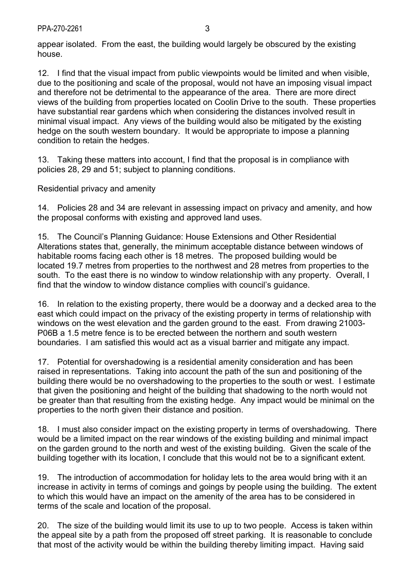appear isolated. From the east, the building would largely be obscured by the existing house.

12. I find that the visual impact from public viewpoints would be limited and when visible, due to the positioning and scale of the proposal, would not have an imposing visual impact and therefore not be detrimental to the appearance of the area. There are more direct views of the building from properties located on Coolin Drive to the south. These properties have substantial rear gardens which when considering the distances involved result in minimal visual impact. Any views of the building would also be mitigated by the existing hedge on the south western boundary. It would be appropriate to impose a planning condition to retain the hedges.

13. Taking these matters into account, I find that the proposal is in compliance with policies 28, 29 and 51; subject to planning conditions.

Residential privacy and amenity

14. Policies 28 and 34 are relevant in assessing impact on privacy and amenity, and how the proposal conforms with existing and approved land uses.

15. The Council's Planning Guidance: House Extensions and Other Residential Alterations states that, generally, the minimum acceptable distance between windows of habitable rooms facing each other is 18 metres. The proposed building would be located 19.7 metres from properties to the northwest and 28 metres from properties to the south. To the east there is no window to window relationship with any property. Overall, I find that the window to window distance complies with council's guidance.

16. In relation to the existing property, there would be a doorway and a decked area to the east which could impact on the privacy of the existing property in terms of relationship with windows on the west elevation and the garden ground to the east. From drawing 21003- P06B a 1.5 metre fence is to be erected between the northern and south western boundaries. I am satisfied this would act as a visual barrier and mitigate any impact.

17. Potential for overshadowing is a residential amenity consideration and has been raised in representations. Taking into account the path of the sun and positioning of the building there would be no overshadowing to the properties to the south or west. I estimate that given the positioning and height of the building that shadowing to the north would not be greater than that resulting from the existing hedge. Any impact would be minimal on the properties to the north given their distance and position.

18. I must also consider impact on the existing property in terms of overshadowing. There would be a limited impact on the rear windows of the existing building and minimal impact on the garden ground to the north and west of the existing building. Given the scale of the building together with its location, I conclude that this would not be to a significant extent.

19. The introduction of accommodation for holiday lets to the area would bring with it an increase in activity in terms of comings and goings by people using the building. The extent to which this would have an impact on the amenity of the area has to be considered in terms of the scale and location of the proposal.

20. The size of the building would limit its use to up to two people. Access is taken within the appeal site by a path from the proposed off street parking. It is reasonable to conclude that most of the activity would be within the building thereby limiting impact. Having said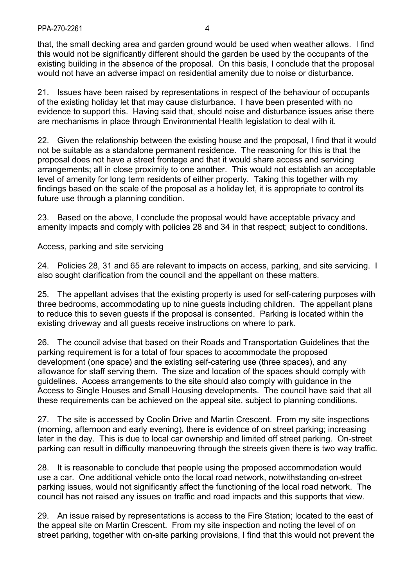that, the small decking area and garden ground would be used when weather allows. I find this would not be significantly different should the garden be used by the occupants of the existing building in the absence of the proposal. On this basis, I conclude that the proposal would not have an adverse impact on residential amenity due to noise or disturbance.

21. Issues have been raised by representations in respect of the behaviour of occupants of the existing holiday let that may cause disturbance. I have been presented with no evidence to support this. Having said that, should noise and disturbance issues arise there are mechanisms in place through Environmental Health legislation to deal with it.

22. Given the relationship between the existing house and the proposal, I find that it would not be suitable as a standalone permanent residence. The reasoning for this is that the proposal does not have a street frontage and that it would share access and servicing arrangements; all in close proximity to one another. This would not establish an acceptable level of amenity for long term residents of either property. Taking this together with my findings based on the scale of the proposal as a holiday let, it is appropriate to control its future use through a planning condition.

23. Based on the above, I conclude the proposal would have acceptable privacy and amenity impacts and comply with policies 28 and 34 in that respect; subject to conditions.

Access, parking and site servicing

24. Policies 28, 31 and 65 are relevant to impacts on access, parking, and site servicing. I also sought clarification from the council and the appellant on these matters.

25. The appellant advises that the existing property is used for self-catering purposes with three bedrooms, accommodating up to nine guests including children. The appellant plans to reduce this to seven guests if the proposal is consented. Parking is located within the existing driveway and all guests receive instructions on where to park.

26. The council advise that based on their Roads and Transportation Guidelines that the parking requirement is for a total of four spaces to accommodate the proposed development (one space) and the existing self-catering use (three spaces), and any allowance for staff serving them. The size and location of the spaces should comply with guidelines. Access arrangements to the site should also comply with guidance in the Access to Single Houses and Small Housing developments. The council have said that all these requirements can be achieved on the appeal site, subject to planning conditions.

27. The site is accessed by Coolin Drive and Martin Crescent. From my site inspections (morning, afternoon and early evening), there is evidence of on street parking; increasing later in the day. This is due to local car ownership and limited off street parking. On-street parking can result in difficulty manoeuvring through the streets given there is two way traffic.

28. It is reasonable to conclude that people using the proposed accommodation would use a car. One additional vehicle onto the local road network, notwithstanding on-street parking issues, would not significantly affect the functioning of the local road network. The council has not raised any issues on traffic and road impacts and this supports that view.

29. An issue raised by representations is access to the Fire Station; located to the east of the appeal site on Martin Crescent. From my site inspection and noting the level of on street parking, together with on-site parking provisions, I find that this would not prevent the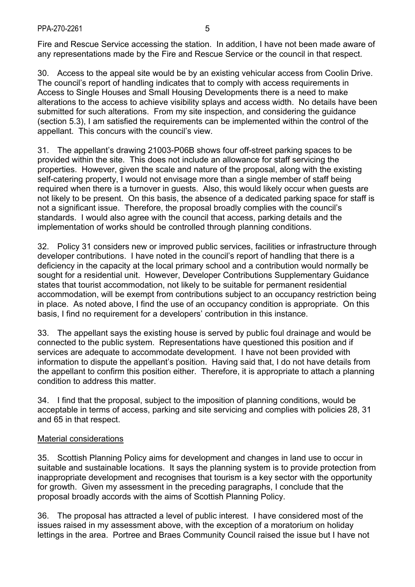Fire and Rescue Service accessing the station. In addition, I have not been made aware of any representations made by the Fire and Rescue Service or the council in that respect.

30. Access to the appeal site would be by an existing vehicular access from Coolin Drive. The council's report of handling indicates that to comply with access requirements in Access to Single Houses and Small Housing Developments there is a need to make alterations to the access to achieve visibility splays and access width. No details have been submitted for such alterations. From my site inspection, and considering the guidance (section 5.3), I am satisfied the requirements can be implemented within the control of the appellant. This concurs with the council's view.

31. The appellant's drawing 21003-P06B shows four off-street parking spaces to be provided within the site. This does not include an allowance for staff servicing the properties. However, given the scale and nature of the proposal, along with the existing self-catering property, I would not envisage more than a single member of staff being required when there is a turnover in guests. Also, this would likely occur when guests are not likely to be present. On this basis, the absence of a dedicated parking space for staff is not a significant issue. Therefore, the proposal broadly complies with the council's standards. I would also agree with the council that access, parking details and the implementation of works should be controlled through planning conditions.

32. Policy 31 considers new or improved public services, facilities or infrastructure through developer contributions. I have noted in the council's report of handling that there is a deficiency in the capacity at the local primary school and a contribution would normally be sought for a residential unit. However, Developer Contributions Supplementary Guidance states that tourist accommodation, not likely to be suitable for permanent residential accommodation, will be exempt from contributions subject to an occupancy restriction being in place. As noted above, I find the use of an occupancy condition is appropriate. On this basis, I find no requirement for a developers' contribution in this instance.

33. The appellant says the existing house is served by public foul drainage and would be connected to the public system. Representations have questioned this position and if services are adequate to accommodate development. I have not been provided with information to dispute the appellant's position. Having said that, I do not have details from the appellant to confirm this position either. Therefore, it is appropriate to attach a planning condition to address this matter.

34. I find that the proposal, subject to the imposition of planning conditions, would be acceptable in terms of access, parking and site servicing and complies with policies 28, 31 and 65 in that respect.

#### Material considerations

35. Scottish Planning Policy aims for development and changes in land use to occur in suitable and sustainable locations. It says the planning system is to provide protection from inappropriate development and recognises that tourism is a key sector with the opportunity for growth. Given my assessment in the preceding paragraphs, I conclude that the proposal broadly accords with the aims of Scottish Planning Policy.

36. The proposal has attracted a level of public interest. I have considered most of the issues raised in my assessment above, with the exception of a moratorium on holiday lettings in the area. Portree and Braes Community Council raised the issue but I have not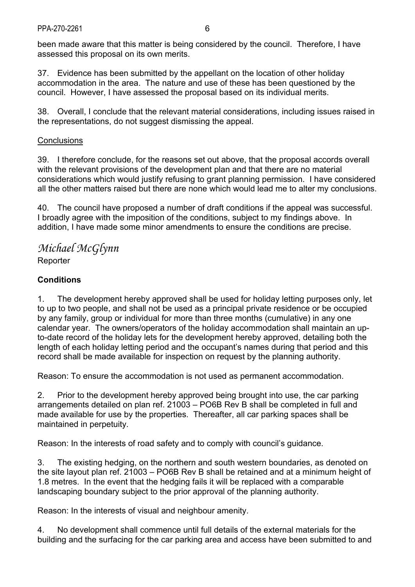been made aware that this matter is being considered by the council. Therefore, I have assessed this proposal on its own merits.

37. Evidence has been submitted by the appellant on the location of other holiday accommodation in the area. The nature and use of these has been questioned by the council. However, I have assessed the proposal based on its individual merits.

38. Overall, I conclude that the relevant material considerations, including issues raised in the representations, do not suggest dismissing the appeal.

### **Conclusions**

39. I therefore conclude, for the reasons set out above, that the proposal accords overall with the relevant provisions of the development plan and that there are no material considerations which would justify refusing to grant planning permission. I have considered all the other matters raised but there are none which would lead me to alter my conclusions.

40. The council have proposed a number of draft conditions if the appeal was successful. I broadly agree with the imposition of the conditions, subject to my findings above. In addition, I have made some minor amendments to ensure the conditions are precise.

*Michael McGlynn*  **Reporter** 

# **Conditions**

1. The development hereby approved shall be used for holiday letting purposes only, let to up to two people, and shall not be used as a principal private residence or be occupied by any family, group or individual for more than three months (cumulative) in any one calendar year. The owners/operators of the holiday accommodation shall maintain an upto-date record of the holiday lets for the development hereby approved, detailing both the length of each holiday letting period and the occupant's names during that period and this record shall be made available for inspection on request by the planning authority.

Reason: To ensure the accommodation is not used as permanent accommodation.

2. Prior to the development hereby approved being brought into use, the car parking arrangements detailed on plan ref. 21003 – PO6B Rev B shall be completed in full and made available for use by the properties. Thereafter, all car parking spaces shall be maintained in perpetuity.

Reason: In the interests of road safety and to comply with council's guidance.

3. The existing hedging, on the northern and south western boundaries, as denoted on the site layout plan ref. 21003 – PO6B Rev B shall be retained and at a minimum height of 1.8 metres. In the event that the hedging fails it will be replaced with a comparable landscaping boundary subject to the prior approval of the planning authority.

Reason: In the interests of visual and neighbour amenity.

4. No development shall commence until full details of the external materials for the building and the surfacing for the car parking area and access have been submitted to and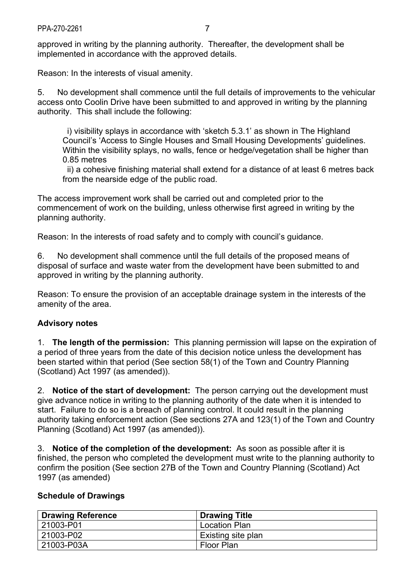approved in writing by the planning authority. Thereafter, the development shall be implemented in accordance with the approved details.

Reason: In the interests of visual amenity.

5. No development shall commence until the full details of improvements to the vehicular access onto Coolin Drive have been submitted to and approved in writing by the planning authority. This shall include the following:

 i) visibility splays in accordance with 'sketch 5.3.1' as shown in The Highland Council's 'Access to Single Houses and Small Housing Developments' guidelines. Within the visibility splays, no walls, fence or hedge/vegetation shall be higher than 0.85 metres

 ii) a cohesive finishing material shall extend for a distance of at least 6 metres back from the nearside edge of the public road.

The access improvement work shall be carried out and completed prior to the commencement of work on the building, unless otherwise first agreed in writing by the planning authority.

Reason: In the interests of road safety and to comply with council's guidance.

6. No development shall commence until the full details of the proposed means of disposal of surface and waste water from the development have been submitted to and approved in writing by the planning authority.

Reason: To ensure the provision of an acceptable drainage system in the interests of the amenity of the area.

#### **Advisory notes**

1. **The length of the permission:** This planning permission will lapse on the expiration of a period of three years from the date of this decision notice unless the development has been started within that period (See section 58(1) of the Town and Country Planning (Scotland) Act 1997 (as amended)).

2. **Notice of the start of development:** The person carrying out the development must give advance notice in writing to the planning authority of the date when it is intended to start. Failure to do so is a breach of planning control. It could result in the planning authority taking enforcement action (See sections 27A and 123(1) of the Town and Country Planning (Scotland) Act 1997 (as amended)).

3. **Notice of the completion of the development:** As soon as possible after it is finished, the person who completed the development must write to the planning authority to confirm the position (See section 27B of the Town and Country Planning (Scotland) Act 1997 (as amended)

#### **Schedule of Drawings**

| <b>Drawing Reference</b> | <b>Drawing Title</b> |
|--------------------------|----------------------|
| 21003-P01                | <b>Location Plan</b> |
| 21003-P02                | Existing site plan   |
| 21003-P03A               | <b>Floor Plan</b>    |